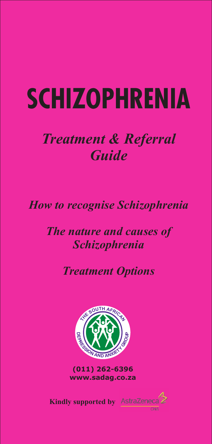# **SCHIZOPHRENIA**

# *Treatment & Referral Guide*

# *How to recognise Schizophrenia*

# *The nature and causes of Schizophrenia*

# *Treatment Options*



**(011) 262-6396 www.sadag.co.za**

CNS

**Kindly supported by**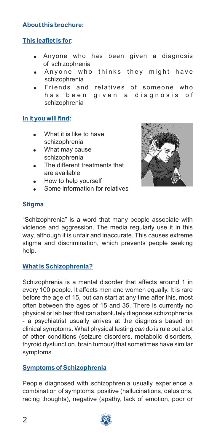## **About this brochure:**

# **This leaflet is for:**

- ! Anyone who has been given a diagnosis of schizophrenia
- . Anyone who thinks they might have schizophrenia
- . Friends and relatives of someone who has been given a diagnosis of schizophrenia

#### **In it you will find:**

- . What it is like to have schizophrenia
- . What may cause schizophrenia
- . The different treatments that are available
- . How to help yourself
- . Some information for relatives



# **Stigma**

"Schizophrenia" is a word that many people associate with violence and aggression. The media regularly use it in this way, although it is unfair and inaccurate. This causes extreme stigma and discrimination, which prevents people seeking help.

#### **What is Schizophrenia?**

Schizophrenia is a mental disorder that affects around 1 in every 100 people. It affects men and women equally. It is rare before the age of 15, but can start at any time after this, most often between the ages of 15 and 35. There is currently no physical or lab test that can absolutely diagnose schizophrenia - a psychiatrist usually arrives at the diagnosis based on clinical symptoms. What physical testing *can* do is rule out a lot of other conditions (seizure disorders, metabolic disorders, thyroid dysfunction, brain tumour) that sometimes have similar symptoms.

#### **Symptoms of Schizophrenia**

People diagnosed with schizophrenia usually experience a combination of symptoms: positive (hallucinations, delusions, racing thoughts), negative (apathy, lack of emotion, poor or

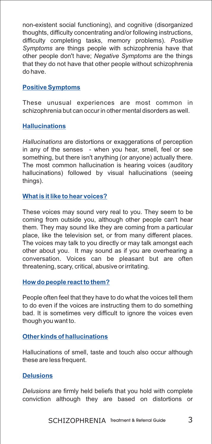non-existent social functioning), and cognitive (disorganized thoughts, difficulty concentrating and/or following instructions, difficulty completing tasks, memory problems). *Positive Symptoms* are things people with schizophrenia have that other people don't have; *Negative Symptoms* are the things that they do not have that other people without schizophrenia do have.

#### **Positive Symptoms**

These unusual experiences are most common in schizophrenia but can occur in other mental disorders as well.

#### **Hallucinations**

*Hallucinations* are distortions or exaggerations of perception in any of the senses - when you hear, smell, feel or see something, but there isn't anything (or anyone) actually there. The most common hallucination is hearing voices (auditory hallucinations) followed by visual hallucinations (seeing things).

#### **What is it like to hear voices?**

These voices may sound very real to you. They seem to be coming from outside you, although other people can't hear them. They may sound like they are coming from a particular place, like the television set, or from many different places. The voices may talk to you directly or may talk amongst each other about you. It may sound as if you are overhearing a conversation. Voices can be pleasant but are often threatening, scary, critical, abusive or irritating.

#### **How do people react to them?**

People often feel that they have to do what the voices tell them to do even if the voices are instructing them to do something bad. It is sometimes very difficult to ignore the voices even though you want to.

#### **Other kinds of hallucinations**

Hallucinations of smell, taste and touch also occur although these are less frequent.

#### **Delusions**

*Delusions* are firmly held beliefs that you hold with complete conviction although they are based on distortions or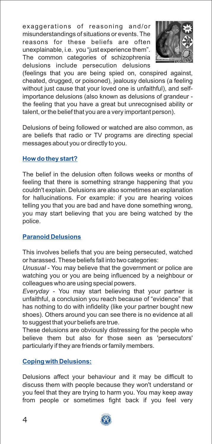exaggerations of reasoning and/or misunderstandings of situations or events. The reasons for these beliefs are often unexplainable, i.e. you "just experience them". The common categories of schizophrenia delusions include persecution delusions



(feelings that you are being spied on, conspired against, cheated, drugged, or poisoned), jealousy delusions (a feeling without just cause that your loved one is unfaithful), and selfimportance delusions (also known as delusions of grandeur the feeling that you have a great but unrecognised ability or talent, or the belief that you are a very important person).

Delusions of being followed or watched are also common, as are beliefs that radio or TV programs are directing special messages about you or directly to you.

#### **How do they start?**

The belief in the delusion often follows weeks or months of feeling that there is something strange happening that you couldn't explain. Delusions are also sometimes an explanation for hallucinations. For example: if you are hearing voices telling you that you are bad and have done something wrong, you may start believing that you are being watched by the police.

#### **Paranoid Delusions**

This involves beliefs that you are being persecuted, watched or harassed. These beliefs fall into two categories:

*Unusual* - You may believe that the government or police are watching you or you are being influenced by a neighbour or colleagues who are using special powers.

*Everyday -* You may start believing that your partner is unfaithful, a conclusion you reach because of "evidence" that has nothing to do with infidelity (like your partner bought new shoes). Others around you can see there is no evidence at all to suggest that your beliefs are true.

These delusions are obviously distressing for the people who believe them but also for those seen as 'persecutors' particularly if they are friends or family members.

#### **Coping with Delusions:**

Delusions affect your behaviour and it may be difficult to discuss them with people because they won't understand or you feel that they are trying to harm you. You may keep away from people or sometimes fight back if you feel very

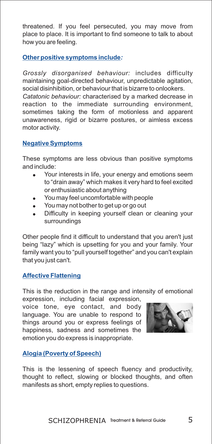threatened. If you feel persecuted, you may move from place to place. It is important to find someone to talk to about how you are feeling.

#### **Other positive symptoms include***:*

*Grossly disorganised behaviour:* includes difficulty maintaining goal-directed behaviour, unpredictable agitation, social disinhibition, or behaviour that is bizarre to onlookers.

*Catatonic behaviour:* characteri*s*ed by a marked decrease in reaction to the immediate surrounding environment, sometimes taking the form of motionless and apparent unawareness, rigid or bizarre postures, or aimless excess motor activity.

#### **Negative Symptoms**

These symptoms are less obvious than positive symptoms and include:

- $\blacksquare$ Your interests in life, your energy and emotions seem to "drain away" which makes it very hard to feel excited or enthusiastic about anything
- . You may feel uncomfortable with people
- . You may not bother to get up or go out
- . Difficulty in keeping yourself clean or cleaning your surroundings

Other people find it difficult to understand that you aren't just being "lazy" which is upsetting for you and your family. Your family want you to "pull yourself together" and you can't explain that you just can't.

#### **Affective Flattening**

This is the reduction in the range and intensity of emotional

expression, including facial expression, voice tone, eye contact, and body language. You are unable to respond to things around you or express feelings of happiness, sadness and sometimes the emotion you do express is inappropriate.



#### **Alogia (Poverty of Speech)**

This is the lessening of speech fluency and productivity, thought to reflect, slowing or blocked thoughts, and often manifests as short, empty replies to questions.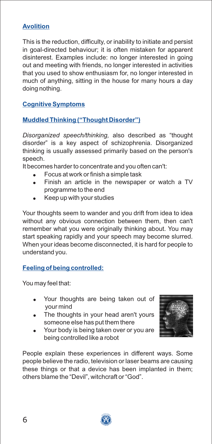# **Avolition**

This is the reduction, difficulty, or inability to initiate and persist in goal-directed behaviour; it is often mistaken for apparent disinterest. Examples include: no longer interested in going out and meeting with friends, no longer interested in activities that you used to show enthusiasm for, no longer interested in much of anything, sitting in the house for many hours a day doing nothing.

### **Cognitive Symptoms**

# **Muddled Thinking ("Thought Disorder")**

*Disorganized speech/thinking,* also described as "thought disorder" is a key aspect of schizophrenia. Disorganized thinking is usually assessed primarily based on the person's speech.

It becomes harder to concentrate and you often can't:

- Focus at work or finish a simple task  $\bullet$
- Finish an article in the newspaper or watch a TV programme to the end  $\bullet$
- Keep up with your studies .

Your thoughts seem to wander and you drift from idea to idea without any obvious connection between them, then can't remember what you were originally thinking about. You may start speaking rapidly and your speech may become slurred. When your ideas become disconnected, it is hard for people to understand you.

#### **Feeling of being controlled:**

You may feel that:

- Your thoughts are being taken out of your mind
- The thoughts in your head aren't yours someone else has put them there
- Your body is being taken over or you are being controlled like a robot



People explain these experiences in different ways. Some people believe the radio, television or laser beams are causing these things or that a device has been implanted in them; others blame the "Devil", witchcraft or "God".

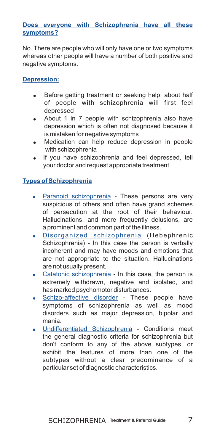#### **Does everyone with Schizophrenia have all these symptoms?**

No. There are people who will only have one or two symptoms whereas other people will have a number of both positive and negative symptoms.

#### **Depression:**

- Before getting treatment or seeking help, about half of people with schizophrenia will first feel depressed  $\bullet$
- About 1 in 7 people with schizophrenia also have depression which is often not diagnosed because it is mistaken for negative symptoms  $\bullet$
- Medication can help reduce depression in people with schizophrenia  $\blacksquare$
- If you have schizophrenia and feel depressed, tell your doctor and request appropriate treatment .

#### **Types of Schizophrenia**

- · Paranoid schizophrenia These persons are very suspicious of others and often have grand schemes of persecution at the root of their behaviour. Hallucinations, and more frequently delusions, are a prominent and common part of the illness.
- Disorganized schizophrenia (Hebephrenic Schizophrenia) - In this case the person is verbally incoherent and may have moods and emotions that are not appropriate to the situation. Hallucinations are not usually present.
- Catatonic schizophrenia In this case, the person is extremely withdrawn, negative and isolated, and has marked psychomotor disturbances.
- Schizo-affective disorder These people have symptoms of schizophrenia as well as mood disorders such as major depression, bipolar and mania.
- . Undifferentiated Schizophrenia Conditions meet the general diagnostic criteria for schizophrenia but don't conform to any of the above subtypes, or exhibit the features of more than one of the subtypes without a clear predominance of a particular set of diagnostic characteristics.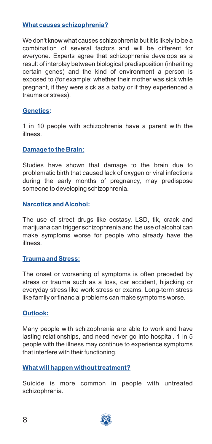#### **What causes schizophrenia?**

We don't know what causes schizophrenia but it is likely to be a combination of several factors and will be different for everyone. Experts agree that schizophrenia develops as a result of interplay between biological predisposition (inheriting certain genes) and the kind of environment a person is exposed to (for example: whether their mother was sick while pregnant, if they were sick as a baby or if they experienced a trauma or stress).

#### **Genetics:**

1 in 10 people with schizophrenia have a parent with the illness.

#### **Damage to the Brain:**

Studies have shown that damage to the brain due to problematic birth that caused lack of oxygen or viral infections during the early months of pregnancy, may predispose someone to developing schizophrenia.

#### **Narcotics and Alcohol:**

The use of street drugs like ecstasy, LSD, tik, crack and marijuana can trigger schizophrenia and the use of alcohol can make symptoms worse for people who already have the illness.

#### **Trauma and Stress:**

The onset or worsening of symptoms is often preceded by stress or trauma such as a loss, car accident, hijacking or everyday stress like work stress or exams. Long-term stress like family or financial problems can make symptoms worse.

#### **Outlook:**

Many people with schizophrenia are able to work and have lasting relationships, and need never go into hospital. 1 in 5 people with the illness may continue to experience symptoms that interfere with their functioning.

#### **What will happen without treatment?**

Suicide is more common in people with untreated schizophrenia.

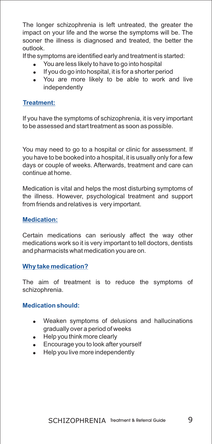The longer schizophrenia is left untreated, the greater the impact on your life and the worse the symptoms will be. The sooner the illness is diagnosed and treated, the better the outlook.

If the symptoms are identified early and treatment is started:

- You are less likely to have to go into hospital
- ! If you do go into hospital, it is for a shorter period
- . You are more likely to be able to work and live independently

### **Treatment:**

If you have the symptoms of schizophrenia, it is very important to be assessed and start treatment as soon as possible.

You may need to go to a hospital or clinic for assessment. If you have to be booked into a hospital, it is usually only for a few days or couple of weeks. Afterwards, treatment and care can continue at home.

Medication is vital and helps the most disturbing symptoms of the illness. However, psychological treatment and support from friends and relatives is very important.

# **Medication:**

Certain medications can seriously affect the way other medications work so it is very important to tell doctors, dentists and pharmacists what medication you are on.

#### **Why take medication?**

The aim of treatment is to reduce the symptoms of schizophrenia.

#### **Medication should:**

- ! Weaken symptoms of delusions and hallucinations gradually over a period of weeks
- Help you think more clearly
- **Encourage you to look after yourself**
- Help you live more independently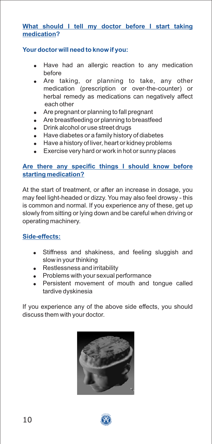#### **What should I tell my doctor before I start taking medication?**

#### **Your doctor will need to know if you:**

- Have had an allergic reaction to any medication before
- Are taking, or planning to take, any other medication (prescription or over-the-counter) or herbal remedy as medications can negatively affect each other
- Are pregnant or planning to fall pregnant
- Are breastfeeding or planning to breastfeed
- . Drink alcohol or use street drugs
- Have diabetes or a family history of diabetes
- $\bullet$  Have a history of liver, heart or kidney problems
- Exercise very hard or work in hot or sunny places

#### **Are there any specific things I should know before starting medication?**

At the start of treatment, or after an increase in dosage, you may feel light-headed or dizzy. You may also feel drowsy - this is common and normal. If you experience any of these, get up slowly from sitting or lying down and be careful when driving or operating machinery.

#### **Side-effects:**

- . Stiffness and shakiness, and feeling sluggish and slow in your thinking
- . Restlessness and irritability
- ! Problems with your sexual performance
- Persistent movement of mouth and tongue called tardive dyskinesia

If you experience any of the above side effects, you should discuss them with your doctor.



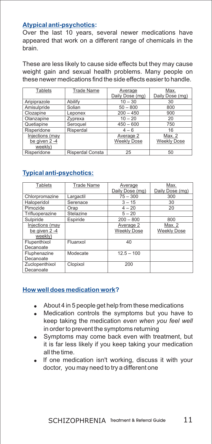#### **Atypical anti-psychotics:**

Over the last 10 years, several newer medications have appeared that work on a different range of chemicals in the brain.

These are less likely to cause side effects but they may cause weight gain and sexual health problems. Many people on these newer medications find the side effects easier to handle.

| <b>Tablets</b>  | <b>Trade Name</b> | Average            | Max.               |
|-----------------|-------------------|--------------------|--------------------|
|                 |                   | Daily Dose (mg)    | Daily Dose (mg)    |
| Aripiprazole    | Abilify           | $10 - 30$          | 30                 |
| Amisulpride     | Solian            | $50 - 800$         | 800                |
| Clozapine       | Leponex           | $200 - 450$        | 900                |
| Olanzapine      | Zyprexa           | $10 - 20$          | 20                 |
| Quetiapine      | Seroquel          | $450 - 600$        | 750                |
| Risperidone     | Risperdal         | $4 - 6$            | 16                 |
| Injections (may |                   | Average 2          | Max. 2             |
| be given 2 -4   |                   | <b>Weekly Dose</b> | <b>Weekly Dose</b> |
| weekly)         |                   |                    |                    |
| Risperidone     | Risperdal Consta  | 25                 | 50                 |

## **Typical anti-psychotics:**

| <b>Tablets</b>  | <b>Trade Name</b> | Average            | Max.               |
|-----------------|-------------------|--------------------|--------------------|
|                 |                   | Daily Dose (mg)    | Daily Dose (mg)    |
| Chlorpromazine  | Largactil         | $75 - 300$         | 300                |
| Haloperidol     | Serenace          | $3 - 15$           | 30                 |
| Pimozide        | Orap              | $4 - 20$           | 20                 |
| Trifluoperazine | Stelazine         | $5 - 20$           |                    |
| Sulpiride       | Espiride          | $200 - 800$        | 800                |
| Injections (may |                   | Average 2          | Max. 2             |
| be given 2 -4   |                   | <b>Weekly Dose</b> | <b>Weekly Dose</b> |
| weekly)         |                   |                    |                    |
| Flupenthixol    | Fluanxol          | 40                 |                    |
| Decanoate       |                   |                    |                    |
| Fluphenazine    | Modecate          | $12.5 - 100$       |                    |
| Decanoate       |                   |                    |                    |
| Zuclopenthixol  | Clopixol          | 200                |                    |
| Decanoate       |                   |                    |                    |

#### **How well does medication work?**

- About 4 in 5 people get help from these medications !
- Medication controls the symptoms but you have to ! keep taking the medication *even when you feel well* in order to prevent the symptoms returning
- Symptoms may come back even with treatment, but it is far less likely if you keep taking your medication all the time.  $\bullet$
- If one medication isn't working, discuss it with your doctor, you may need to try a different one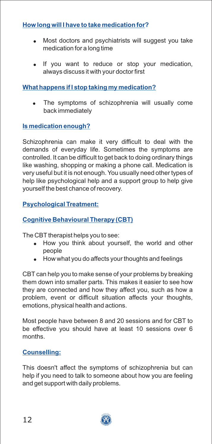# **How long will I have to take medication for?**

- $\bullet$ Most doctors and psychiatrists will suggest you take medication for a long time
- ! If you want to reduce or stop your medication, always discuss it with your doctor first

## **What happens if I stop taking my medication?**

. The symptoms of schizophrenia will usually come back immediately

## **Is medication enough?**

Schizophrenia can make it very difficult to deal with the demands of everyday life. Sometimes the symptoms are controlled. It can be difficult to get back to doing ordinary things like washing, shopping or making a phone call. Medication is very useful but it is not enough. You usually need other types of help like psychological help and a support group to help give yourself the best chance of recovery.

#### **Psychological Treatment:**

## **Cognitive Behavioural Therapy (CBT)**

The CBT therapist helps you to see:

- . How you think about yourself, the world and other people
- . How what you do affects your thoughts and feelings

CBT can help you to make sense of your problems by breaking them down into smaller parts. This makes it easier to see how they are connected and how they affect you, such as how a problem, event or difficult situation affects your thoughts, emotions, physical health and actions.

Most people have between 8 and 20 sessions and for CBT to be effective you should have at least 10 sessions over 6 months.

#### **Counselling:**

This doesn't affect the symptoms of schizophrenia but can help if you need to talk to someone about how you are feeling and get support with daily problems.

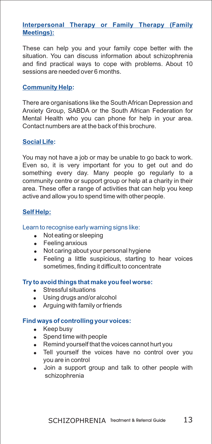#### **Interpersonal Therapy or Family Therapy (Family Meetings):**

These can help you and your family cope better with the situation. You can discuss information about schizophrenia and find practical ways to cope with problems. About 10 sessions are needed over 6 months.

#### **Community Help:**

There are organisations like the South African Depression and Anxiety Group, SABDA or the South African Federation for Mental Health who you can phone for help in your area. Contact numbers are at the back of this brochure.

#### **Social Life:**

You may not have a job or may be unable to go back to work. Even so, it is very important for you to get out and do something every day. Many people go regularly to a community centre or support group or help at a charity in their area. These offer a range of activities that can help you keep active and allow you to spend time with other people.

#### **Self Help:**

#### Learn to recognise early warning signs like:

- Not eating or sleeping
- Feeling anxious
- Not caring about your personal hygiene
- Feeling a little suspicious, starting to hear voices sometimes, finding it difficult to concentrate

#### **Try to avoid things that make you feel worse:**

- Stressful situations
- ! Using drugs and/or alcohol
- Arguing with family or friends

#### **Find ways of controlling your voices:**

- Keep busy
- Spend time with people
- . Remind yourself that the voices cannot hurt you
- . Tell yourself the voices have no control over you you are in control
- Join a support group and talk to other people with schizophrenia .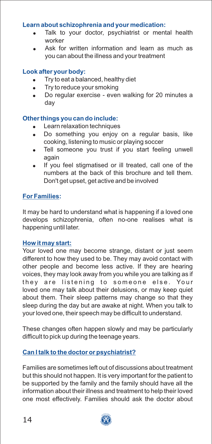#### **Learn about schizophrenia and your medication:**

- . Talk to your doctor, psychiatrist or mental health worker
- . Ask for written information and learn as much as you can about the illness and your treatment

#### **Look after your body:**

- $\bullet$ Try to eat a balanced, healthy diet
- $\blacksquare$ Try to reduce your smoking
- $\bullet$ Do regular exercise - even walking for 20 minutes a day

#### **Other things you can do include:**

- $\bullet$ Learn relaxation techniques
- $\bullet$ Do something you enjoy on a regular basis, like cooking, listening to music or playing soccer
- . Tell someone you trust if you start feeling unwell again
- $\bullet$ If you feel stigmatised or ill treated, call one of the numbers at the back of this brochure and tell them. Don't get upset, get active and be involved

#### **For Families:**

It may be hard to understand what is happening if a loved one develops schizophrenia, often no-one realises what is happening until later.

#### **How it may start:**

Your loved one may become strange, distant or just seem different to how they used to be. They may avoid contact with other people and become less active. If they are hearing voices, they may look away from you while you are talking as if they are listening to someone else. Your loved one may talk about their delusions, or may keep quiet about them. Their sleep patterns may change so that they sleep during the day but are awake at night. When you talk to your loved one, their speech may be difficult to understand.

These changes often happen slowly and may be particularly difficult to pick up during the teenage years.

#### **Can I talk to the doctor or psychiatrist?**

Families are sometimes left out of discussions about treatment but this should not happen. It is very important for the patient to be supported by the family and the family should have all the information about their illness and treatment to help their loved one most effectively. Families should ask the doctor about

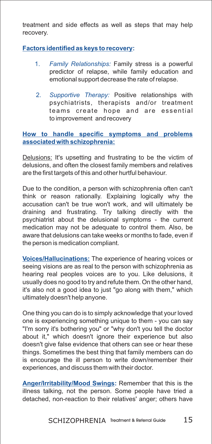treatment and side effects as well as steps that may help recovery.

### **Factors identified as keys to recovery:**

- 1. Family Relationships: Family stress is a powerful predictor of relapse, while family education and emotional support decrease the rate of relapse.
- 2. Supportive Therapy: Positive relationships with psychiatrists, therapists and/or treatment teams create hope and are essential to improvement and recovery

#### **How to handle specific symptoms and problems associated with schizophrenia:**

Delusions: It's upsetting and frustrating to be the victim of delusions, and often the closest family members and relatives are the first targets of this and other hurtful behaviour.

Due to the condition, a person with schizophrenia often can't think or reason rationally. Explaining logically why the accusation can't be true won't work, and will ultimately be draining and frustrating. Try talking directly with the psychiatrist about the delusional symptoms - the current medication may not be adequate to control them. Also, be aware that delusions can take weeks or months to fade, even if the person is medication compliant.

**<u>Voices/Hallucinations:</u> The experience of hearing voices or** seeing visions are as real to the person with schizophrenia as hearing real peoples voices are to you. Like delusions, it usually does no good to try and refute them. On the other hand, it's also not a good idea to just "go along with them," which ultimately doesn't help anyone.

One thing you can do is to simply acknowledge that your loved one is experiencing something unique to them - you can say "I'm sorry it's bothering you" or "why don't you tell the doctor about it," which doesn't ignore their experience but also doesn't give false evidence that others can see or hear these things. Sometimes the best thing that family members can do is encourage the ill person to write down/remember their experiences, and discuss them with their doctor.

**Anger/Irritability/Mood Swings: Remember that this is the** illness talking, not the person. Some people have tried a detached, non-reaction to their relatives' anger; others have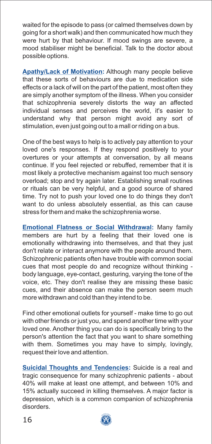waited for the episode to pass (or calmed themselves down by going for a short walk) and then communicated how much they were hurt by that behaviour. If mood swings are severe, a mood stabiliser might be beneficial. Talk to the doctor about possible options.

Apathy/Lack of Motivation: Although many people believe that these sorts of behaviours are due to medication side effects or a lack of will on the part of the patient, most often they are simply another symptom of the illness. When you consider that schizophrenia severely distorts the way an affected individual senses and perceives the world, it's easier to understand why that person might avoid any sort of stimulation, even just going out to a mall or riding on a bus.

One of the best ways to help is to actively pay attention to your loved one's responses. If they respond positively to your overtures or your attempts at conversation, by all means continue. If you feel rejected or rebuffed, remember that it is most likely a protective mechanism against too much sensory overload; stop and try again later. Establishing small routines or rituals can be very helpful, and a good source of shared time. Try not to push your loved one to do things they don't want to do unless absolutely essential, as this can cause stress for them and make the schizophrenia worse.

**<u>Emotional Flatness or Social Withdrawal</u>: Many family** members are hurt by a feeling that their loved one is emotionally withdrawing into themselves, and that they just don't relate or interact anymore with the people around them. Schizophrenic patients often have trouble with common social cues that most people do and recognize without thinking body language, eye-contact, gesturing, varying the tone of the voice, etc. They don't realise they are missing these basic cues, and their absence can make the person seem much more withdrawn and cold than they intend to be.

Find other emotional outlets for yourself - make time to go out with other friends or just you, and spend another time with your loved one. Another thing you can do is specifically bring to the person's attention the fact that you want to share something with them. Sometimes you may have to simply, lovingly, request their love and attention.

Suicidal Thoughts and Tendencies: Suicide is a real and tragic consequence for many schizophrenic patients - about 40% will make at least one attempt, and between 10% and 15% actually succeed in killing themselves. A major factor is depression, which is a common companion of schizophrenia disorders.

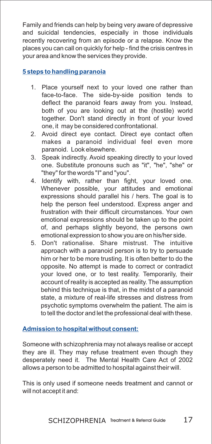Family and friends can help by being very aware of depressive and suicidal tendencies, especially in those individuals recently recovering from an episode or a relapse. Know the places you can call on quickly for help - find the crisis centres in your area and know the services they provide.

#### **5 steps to handling paranoia**

- 1. Place yourself next to your loved one rather than face-to-face. The side-by-side position tends to deflect the paranoid fears away from you. Instead, both of you are looking out at the (hostile) world together. Don't stand directly in front of your loved one, it may be considered confrontational.
- 2. Avoid direct eye contact. Direct eye contact often makes a paranoid individual feel even more paranoid. Look elsewhere.
- 3. Speak indirectly. Avoid speaking directly to your loved one. Substitute pronouns such as "it", "he", "she" or "they" for the words "I" and "you".
- 4. Identify with, rather than fight, your loved one. Whenever possible, your attitudes and emotional expressions should parallel his / hers. The goal is to help the person feel understood. Express anger and frustration with their difficult circumstances. Your own emotional expressions should be taken up to the point of, and perhaps slightly beyond, the persons own emotional expression to show you are on his/her side.
- 5. Don't rationalise. Share mistrust. The intuitive approach with a paranoid person is to try to persuade him or her to be more trusting. It is often better to do the opposite. No attempt is made to correct or contradict your loved one, or to test reality. Temporarily, their account of reality is accepted as reality. The assumption behind this technique is that, in the midst of a paranoid state, a mixture of real-life stresses and distress from psychotic symptoms overwhelm the patient. The aim is to tell the doctor and let the professional deal with these.

#### **Admission to hospital without consent:**

Someone with schizophrenia may not always realise or accept they are ill. They may refuse treatment even though they desperately need it. The Mental Health Care Act of 2002 allows a person to be admitted to hospital against their will.

This is only used if someone needs treatment and cannot or will not accept it and: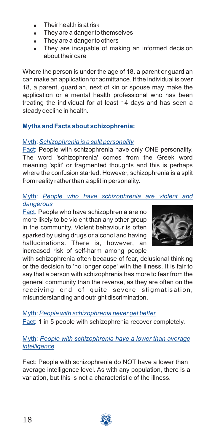- $\bullet$ Their health is at risk
- $\bullet$ They are a danger to themselves
- $\bullet$ They are a danger to others
- $\blacksquare$ They are incapable of making an informed decision about their care

Where the person is under the age of 18, a parent or guardian can make an application for admittance. If the individual is over 18, a parent, guardian, next of kin or spouse may make the application or a mental health professional who has been treating the individual for at least 14 days and has seen a steady decline in health.

# **Myths and Facts about schizophrenia:**

# Myth: *Schizophrenia is a split personality*

**Fact: People with schizophrenia have only ONE personality.** The word 'schizophrenia' comes from the Greek word meaning 'split' or fragmented thoughts and this is perhaps where the confusion started. However, schizophrenia is a split from reality rather than a split in personality.

#### Myth: *People who have schizophrenia are violent and dangerous*

Fact: People who have schizophrenia are no more likely to be violent than any other group in the community. Violent behaviour is often sparked by using drugs or alcohol and having hallucinations. There is, however, an increased risk of self-harm among people



with schizophrenia often because of fear, delusional thinking or the decision to 'no longer cope' with the illness. It is fair to say that a person with schizophrenia has more to fear from the general community than the reverse, as they are often on the receiving end of quite severe stigmatisation, misunderstanding and outright discrimination.

Fact: 1 in 5 people with schizophrenia recover completely. Myth: *People with schizophrenia never get better*

# Myth: *People with schizophrenia have a lower than average intelligence*

Fact: People with schizophrenia do NOT have a lower than average intelligence level. As with any population, there is a variation, but this is not a characteristic of the illness.

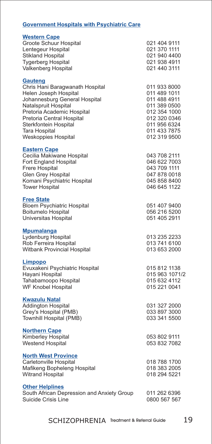#### **Government Hospitals with Psychiatric Care**

| <b>Western Cape</b><br>Groote Schuur Hospital<br>Lentegeur Hospital<br><b>Stikland Hospital</b><br><b>Tygerberg Hospital</b><br>Valkenberg Hospital                                                                                                                    | 021 404 9111<br>021 370 1111<br>021 940 4400<br>021 938 4911<br>021 440 3111                                                                 |
|------------------------------------------------------------------------------------------------------------------------------------------------------------------------------------------------------------------------------------------------------------------------|----------------------------------------------------------------------------------------------------------------------------------------------|
| <b>Gauteng</b><br>Chris Hani Baragwanath Hospital<br>Helen Joseph Hospital<br>Johannesburg General Hospital<br>Natalspruit Hospital<br>Pretoria Academic Hospital<br>Pretoria Central Hospital<br>Sterkfontein Hospital<br><b>Tara Hospital</b><br>Weskoppies Hospital | 011 933 8000<br>011 489 1011<br>011 488 4911<br>011 389 0500<br>012 354 1000<br>012 320 0346<br>011 956 6324<br>011 433 7875<br>012 319 9500 |
| <b>Eastern Cape</b><br>Cecilia Makiwane Hospital<br>Fort England Hospital<br><b>Frere Hospital</b><br>Glen Grey Hospital<br>Komani Psychiatric Hospital<br><b>Tower Hospital</b>                                                                                       | 043 708 2111<br>046 622 7003<br>043 709 1111<br>047 878 0018<br>045 858 8400<br>046 645 1122                                                 |
| <b>Free State</b><br><b>Bloem Psychiatric Hospital</b><br>Boitumelo Hospital<br>Universitas Hospital                                                                                                                                                                   | 051 407 9400<br>056 216 5200<br>051 405 2911                                                                                                 |
| <b>Mpumalanga</b><br>Lydenburg Hospital<br>Rob Ferreira Hospital<br><b>Witbank Provincial Hospital</b>                                                                                                                                                                 | 013 235 2233<br>013 741 6100<br>013 653 2000                                                                                                 |
| <b>Limpopo</b><br>Evuxakeni Psychiatric Hospital<br>Hayani Hospital<br>Tahabamoopo Hospital<br><b>WF Knobel Hospital</b>                                                                                                                                               | 015 812 1138<br>015 963 1071/2<br>015 632 4112<br>015 221 0041                                                                               |
| <b>Kwazulu Natal</b><br><b>Addington Hospital</b><br>Grey's Hospital (PMB)<br>Townhill Hospital (PMB)                                                                                                                                                                  | 031 327 2000<br>033 897 3000<br>033 341 5500                                                                                                 |
| <b>Northern Cape</b><br>Kimberley Hospital<br><b>Westend Hospital</b>                                                                                                                                                                                                  | 053 802 9111<br>053 832 7082                                                                                                                 |
| <b>North West Province</b><br>Carletonville Hospital<br>Mafikeng Bopheleng Hospital<br><b>Witrand Hospital</b>                                                                                                                                                         | 018 788 1700<br>018 383 2005<br>018 294 5221                                                                                                 |
| <b>Other Helplines</b><br>South African Depression and Anxiety Group<br>Suicide Crisis Line                                                                                                                                                                            | 011 262 6396<br>0800 567 567                                                                                                                 |
|                                                                                                                                                                                                                                                                        |                                                                                                                                              |